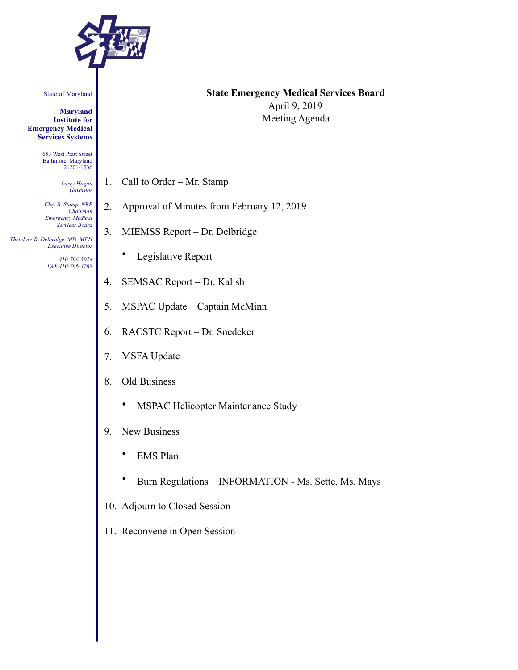

#### State of Maryland

**Maryland Institute for Emergency Medical Services Systems** 

> 653 West Pratt Street Baltimore, Maryland 21201-1536

> > *Larry Hogan Governor*

*Clay B. Stamp, NRP Chairman Emergency Medical Services Board* 

 *Theodore R. Delbridge, MD, MPH Executive Director*

> *410-706-5074 FAX 410-706-4768*

# **State Emergency Medical Services Board**  April 9, 2019 Meeting Agenda

- 1. Call to Order Mr. Stamp
- 2. Approval of Minutes from February 12, 2019
- 3. MIEMSS Report Dr. Delbridge
	- Legislative Report
- 4. SEMSAC Report Dr. Kalish
- 5. MSPAC Update Captain McMinn
- 6. RACSTC Report Dr. Snedeker
- 7. MSFA Update
- 8. Old Business
	- MSPAC Helicopter Maintenance Study
- 9. New Business
	- EMS Plan
	- Burn Regulations INFORMATION Ms. Sette, Ms. Mays
- 10. Adjourn to Closed Session
- 11. Reconvene in Open Session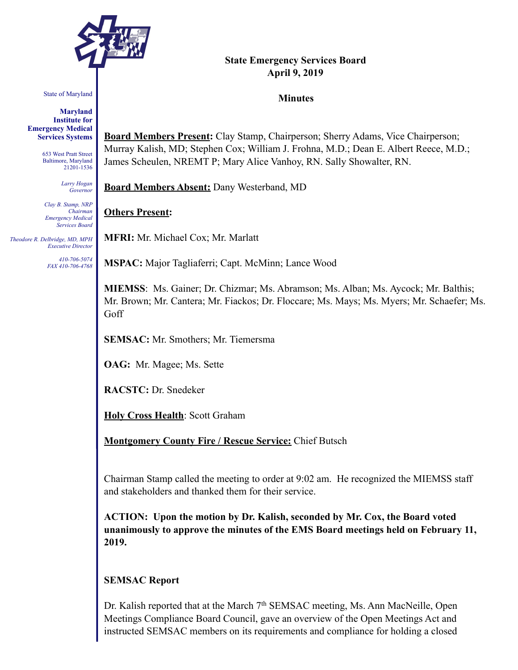

State of Maryland

**Maryland Institute for Emergency Medical Services Systems** 

> 653 West Pratt Street Baltimore, Maryland 21201-1536

> > *Larry Hogan Governor*

*Clay B. Stamp, NRP Chairman Emergency Medical Services Board* 

 *Theodore R. Delbridge, MD, MPH Executive Director*

> *410-706-5074 FAX 410-706-4768*

# **State Emergency Services Board April 9, 2019**

#### **Minutes**

**Board Members Present:** Clay Stamp, Chairperson; Sherry Adams, Vice Chairperson; Murray Kalish, MD; Stephen Cox; William J. Frohna, M.D.; Dean E. Albert Reece, M.D.; James Scheulen, NREMT P; Mary Alice Vanhoy, RN. Sally Showalter, RN.

**Board Members Absent:** Dany Westerband, MD

# **Others Present:**

**MFRI:** Mr. Michael Cox; Mr. Marlatt

**MSPAC:** Major Tagliaferri; Capt. McMinn; Lance Wood

**MIEMSS**: Ms. Gainer; Dr. Chizmar; Ms. Abramson; Ms. Alban; Ms. Aycock; Mr. Balthis; Mr. Brown; Mr. Cantera; Mr. Fiackos; Dr. Floccare; Ms. Mays; Ms. Myers; Mr. Schaefer; Ms. Goff

**SEMSAC:** Mr. Smothers; Mr. Tiemersma

**OAG:** Mr. Magee; Ms. Sette

**RACSTC:** Dr. Snedeker

**Holy Cross Health**: Scott Graham

**Montgomery County Fire / Rescue Service:** Chief Butsch

Chairman Stamp called the meeting to order at 9:02 am. He recognized the MIEMSS staff and stakeholders and thanked them for their service.

**ACTION: Upon the motion by Dr. Kalish, seconded by Mr. Cox, the Board voted unanimously to approve the minutes of the EMS Board meetings held on February 11, 2019.** 

# **SEMSAC Report**

Dr. Kalish reported that at the March 7<sup>th</sup> SEMSAC meeting, Ms. Ann MacNeille, Open Meetings Compliance Board Council, gave an overview of the Open Meetings Act and instructed SEMSAC members on its requirements and compliance for holding a closed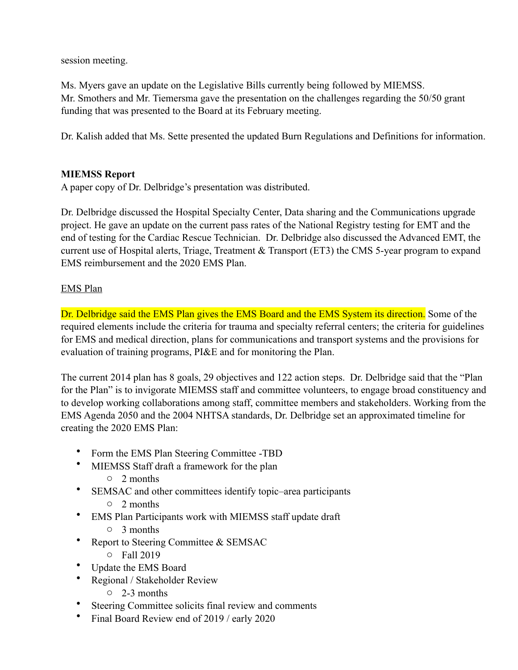session meeting.

Ms. Myers gave an update on the Legislative Bills currently being followed by MIEMSS. Mr. Smothers and Mr. Tiemersma gave the presentation on the challenges regarding the 50/50 grant funding that was presented to the Board at its February meeting.

Dr. Kalish added that Ms. Sette presented the updated Burn Regulations and Definitions for information.

# **MIEMSS Report**

A paper copy of Dr. Delbridge's presentation was distributed.

Dr. Delbridge discussed the Hospital Specialty Center, Data sharing and the Communications upgrade project. He gave an update on the current pass rates of the National Registry testing for EMT and the end of testing for the Cardiac Rescue Technician. Dr. Delbridge also discussed the Advanced EMT, the current use of Hospital alerts, Triage, Treatment & Transport (ET3) the CMS 5-year program to expand EMS reimbursement and the 2020 EMS Plan.

#### EMS Plan

Dr. Delbridge said the EMS Plan gives the EMS Board and the EMS System its direction. Some of the required elements include the criteria for trauma and specialty referral centers; the criteria for guidelines for EMS and medical direction, plans for communications and transport systems and the provisions for evaluation of training programs, PI&E and for monitoring the Plan.

The current 2014 plan has 8 goals, 29 objectives and 122 action steps. Dr. Delbridge said that the "Plan for the Plan" is to invigorate MIEMSS staff and committee volunteers, to engage broad constituency and to develop working collaborations among staff, committee members and stakeholders. Working from the EMS Agenda 2050 and the 2004 NHTSA standards, Dr. Delbridge set an approximated timeline for creating the 2020 EMS Plan:

- Form the EMS Plan Steering Committee -TBD
- MIEMSS Staff draft a framework for the plan
	- o 2 months
- SEMSAC and other committees identify topic–area participants
	- o 2 months
- EMS Plan Participants work with MIEMSS staff update draft
	- o 3 months
- Report to Steering Committee & SEMSAC
	- o Fall 2019
- Update the EMS Board
- Regional / Stakeholder Review
	- o 2-3 months
- Steering Committee solicits final review and comments
- Final Board Review end of 2019 / early 2020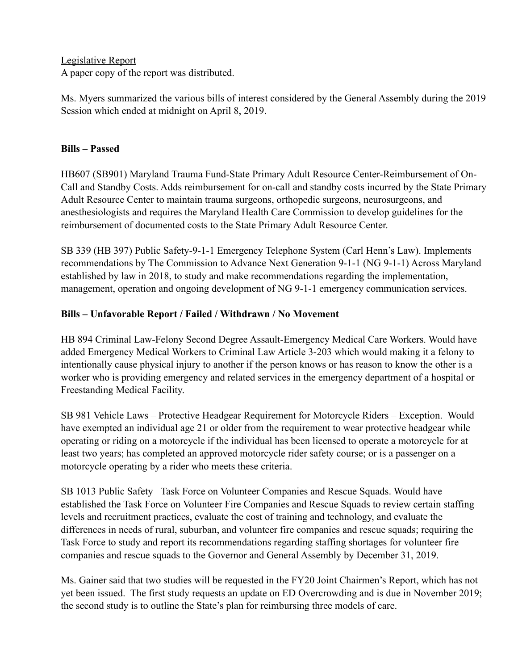Legislative Report

A paper copy of the report was distributed.

Ms. Myers summarized the various bills of interest considered by the General Assembly during the 2019 Session which ended at midnight on April 8, 2019.

# **Bills – Passed**

HB607 (SB901) Maryland Trauma Fund-State Primary Adult Resource Center-Reimbursement of On-Call and Standby Costs. Adds reimbursement for on-call and standby costs incurred by the State Primary Adult Resource Center to maintain trauma surgeons, orthopedic surgeons, neurosurgeons, and anesthesiologists and requires the Maryland Health Care Commission to develop guidelines for the reimbursement of documented costs to the State Primary Adult Resource Center.

SB 339 (HB 397) Public Safety-9-1-1 Emergency Telephone System (Carl Henn's Law). Implements recommendations by The Commission to Advance Next Generation 9-1-1 (NG 9-1-1) Across Maryland established by law in 2018, to study and make recommendations regarding the implementation, management, operation and ongoing development of NG 9-1-1 emergency communication services.

# **Bills – Unfavorable Report / Failed / Withdrawn / No Movement**

HB 894 Criminal Law-Felony Second Degree Assault-Emergency Medical Care Workers. Would have added Emergency Medical Workers to Criminal Law Article 3-203 which would making it a felony to intentionally cause physical injury to another if the person knows or has reason to know the other is a worker who is providing emergency and related services in the emergency department of a hospital or Freestanding Medical Facility.

SB 981 Vehicle Laws – Protective Headgear Requirement for Motorcycle Riders – Exception. Would have exempted an individual age 21 or older from the requirement to wear protective headgear while operating or riding on a motorcycle if the individual has been licensed to operate a motorcycle for at least two years; has completed an approved motorcycle rider safety course; or is a passenger on a motorcycle operating by a rider who meets these criteria.

SB 1013 Public Safety –Task Force on Volunteer Companies and Rescue Squads. Would have established the Task Force on Volunteer Fire Companies and Rescue Squads to review certain staffing levels and recruitment practices, evaluate the cost of training and technology, and evaluate the differences in needs of rural, suburban, and volunteer fire companies and rescue squads; requiring the Task Force to study and report its recommendations regarding staffing shortages for volunteer fire companies and rescue squads to the Governor and General Assembly by December 31, 2019.

Ms. Gainer said that two studies will be requested in the FY20 Joint Chairmen's Report, which has not yet been issued. The first study requests an update on ED Overcrowding and is due in November 2019; the second study is to outline the State's plan for reimbursing three models of care.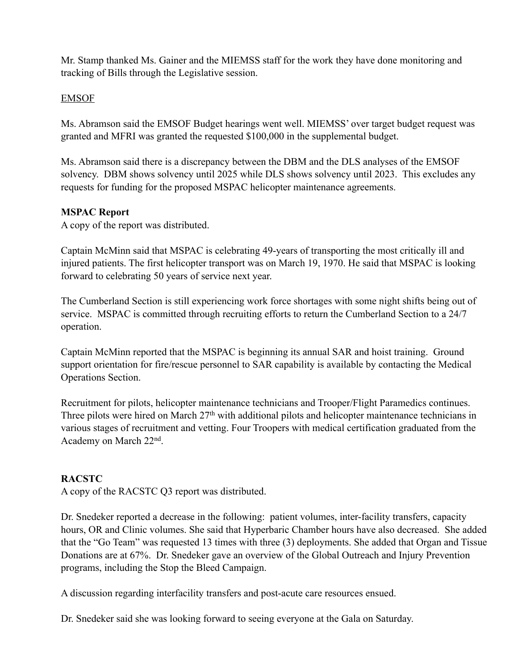Mr. Stamp thanked Ms. Gainer and the MIEMSS staff for the work they have done monitoring and tracking of Bills through the Legislative session.

# EMSOF

Ms. Abramson said the EMSOF Budget hearings went well. MIEMSS' over target budget request was granted and MFRI was granted the requested \$100,000 in the supplemental budget.

Ms. Abramson said there is a discrepancy between the DBM and the DLS analyses of the EMSOF solvency. DBM shows solvency until 2025 while DLS shows solvency until 2023. This excludes any requests for funding for the proposed MSPAC helicopter maintenance agreements.

# **MSPAC Report**

A copy of the report was distributed.

Captain McMinn said that MSPAC is celebrating 49-years of transporting the most critically ill and injured patients. The first helicopter transport was on March 19, 1970. He said that MSPAC is looking forward to celebrating 50 years of service next year.

The Cumberland Section is still experiencing work force shortages with some night shifts being out of service. MSPAC is committed through recruiting efforts to return the Cumberland Section to a 24/7 operation.

Captain McMinn reported that the MSPAC is beginning its annual SAR and hoist training. Ground support orientation for fire/rescue personnel to SAR capability is available by contacting the Medical Operations Section.

Recruitment for pilots, helicopter maintenance technicians and Trooper/Flight Paramedics continues. Three pilots were hired on March 27<sup>th</sup> with additional pilots and helicopter maintenance technicians in various stages of recruitment and vetting. Four Troopers with medical certification graduated from the Academy on March 22nd.

# **RACSTC**

A copy of the RACSTC Q3 report was distributed.

Dr. Snedeker reported a decrease in the following: patient volumes, inter-facility transfers, capacity hours, OR and Clinic volumes. She said that Hyperbaric Chamber hours have also decreased. She added that the "Go Team" was requested 13 times with three (3) deployments. She added that Organ and Tissue Donations are at 67%. Dr. Snedeker gave an overview of the Global Outreach and Injury Prevention programs, including the Stop the Bleed Campaign.

A discussion regarding interfacility transfers and post-acute care resources ensued.

Dr. Snedeker said she was looking forward to seeing everyone at the Gala on Saturday.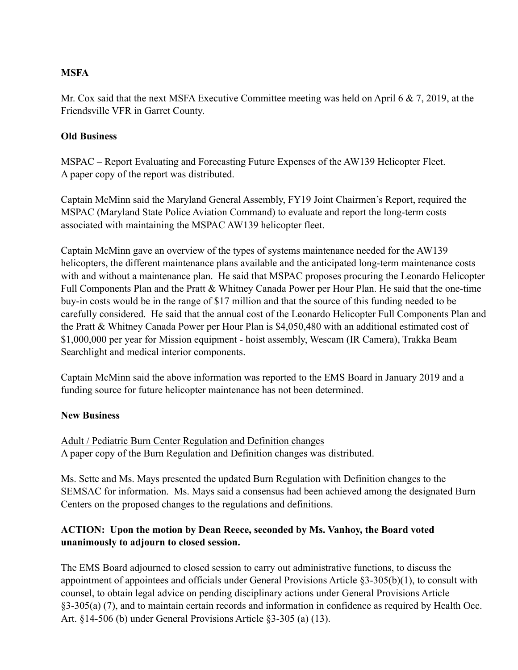#### **MSFA**

Mr. Cox said that the next MSFA Executive Committee meeting was held on April 6 & 7, 2019, at the Friendsville VFR in Garret County.

#### **Old Business**

MSPAC – Report Evaluating and Forecasting Future Expenses of the AW139 Helicopter Fleet. A paper copy of the report was distributed.

Captain McMinn said the Maryland General Assembly, FY19 Joint Chairmen's Report, required the MSPAC (Maryland State Police Aviation Command) to evaluate and report the long-term costs associated with maintaining the MSPAC AW139 helicopter fleet.

Captain McMinn gave an overview of the types of systems maintenance needed for the AW139 helicopters, the different maintenance plans available and the anticipated long-term maintenance costs with and without a maintenance plan. He said that MSPAC proposes procuring the Leonardo Helicopter Full Components Plan and the Pratt & Whitney Canada Power per Hour Plan. He said that the one-time buy-in costs would be in the range of \$17 million and that the source of this funding needed to be carefully considered. He said that the annual cost of the Leonardo Helicopter Full Components Plan and the Pratt & Whitney Canada Power per Hour Plan is \$4,050,480 with an additional estimated cost of \$1,000,000 per year for Mission equipment - hoist assembly, Wescam (IR Camera), Trakka Beam Searchlight and medical interior components.

Captain McMinn said the above information was reported to the EMS Board in January 2019 and a funding source for future helicopter maintenance has not been determined.

#### **New Business**

Adult / Pediatric Burn Center Regulation and Definition changes A paper copy of the Burn Regulation and Definition changes was distributed.

Ms. Sette and Ms. Mays presented the updated Burn Regulation with Definition changes to the SEMSAC for information. Ms. Mays said a consensus had been achieved among the designated Burn Centers on the proposed changes to the regulations and definitions.

# **ACTION: Upon the motion by Dean Reece, seconded by Ms. Vanhoy, the Board voted unanimously to adjourn to closed session.**

The EMS Board adjourned to closed session to carry out administrative functions, to discuss the appointment of appointees and officials under General Provisions Article §3-305(b)(1), to consult with counsel, to obtain legal advice on pending disciplinary actions under General Provisions Article §3-305(a) (7), and to maintain certain records and information in confidence as required by Health Occ. Art. §14-506 (b) under General Provisions Article §3-305 (a) (13).